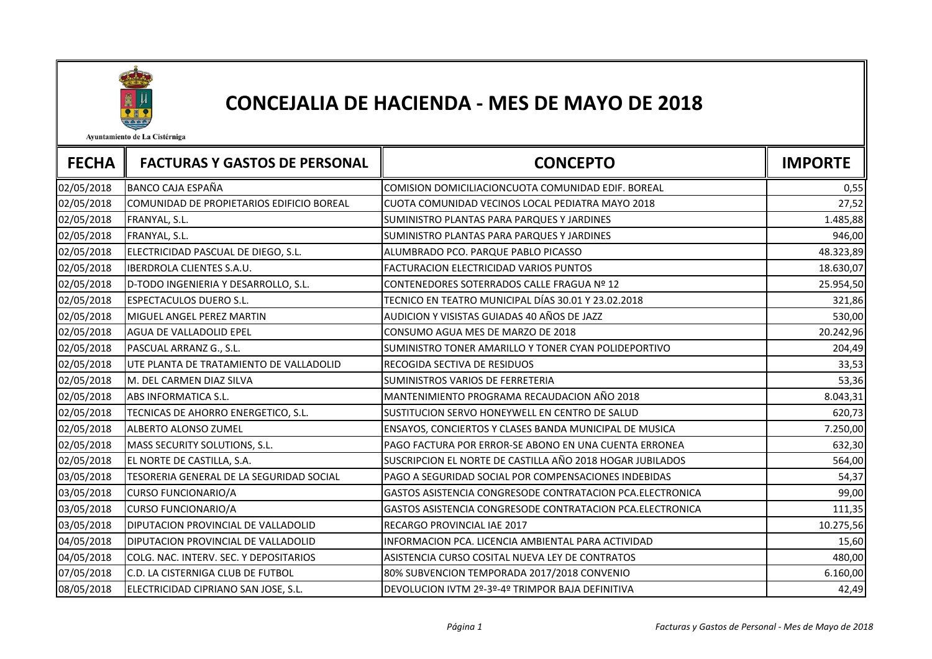

## CONCEJALIA DE HACIENDA - MES DE MAYO DE 2018

Ayuntamiento de La Cistérniga

| <b>FECHA</b> | <b>FACTURAS Y GASTOS DE PERSONAL</b>      | <b>CONCEPTO</b>                                                  | <b>IMPORTE</b> |
|--------------|-------------------------------------------|------------------------------------------------------------------|----------------|
| 02/05/2018   | BANCO CAJA ESPAÑA                         | COMISION DOMICILIACIONCUOTA COMUNIDAD EDIF. BOREAL               | 0,55           |
| 02/05/2018   | COMUNIDAD DE PROPIETARIOS EDIFICIO BOREAL | CUOTA COMUNIDAD VECINOS LOCAL PEDIATRA MAYO 2018                 | 27,52          |
| 02/05/2018   | FRANYAL, S.L.                             | SUMINISTRO PLANTAS PARA PARQUES Y JARDINES                       | 1.485,88       |
| 02/05/2018   | FRANYAL, S.L.                             | SUMINISTRO PLANTAS PARA PARQUES Y JARDINES                       | 946,00         |
| 02/05/2018   | ELECTRICIDAD PASCUAL DE DIEGO, S.L.       | ALUMBRADO PCO. PARQUE PABLO PICASSO                              | 48.323,89      |
| 02/05/2018   | <b>IBERDROLA CLIENTES S.A.U.</b>          | FACTURACION ELECTRICIDAD VARIOS PUNTOS                           | 18.630,07      |
| 02/05/2018   | D-TODO INGENIERIA Y DESARROLLO, S.L.      | CONTENEDORES SOTERRADOS CALLE FRAGUA Nº 12                       | 25.954,50      |
| 02/05/2018   | <b>ESPECTACULOS DUERO S.L.</b>            | TECNICO EN TEATRO MUNICIPAL DÍAS 30.01 Y 23.02.2018              | 321,86         |
| 02/05/2018   | MIGUEL ANGEL PEREZ MARTIN                 | AUDICION Y VISISTAS GUIADAS 40 AÑOS DE JAZZ                      | 530,00         |
| 02/05/2018   | AGUA DE VALLADOLID EPEL                   | CONSUMO AGUA MES DE MARZO DE 2018                                | 20.242,96      |
| 02/05/2018   | PASCUAL ARRANZ G., S.L.                   | SUMINISTRO TONER AMARILLO Y TONER CYAN POLIDEPORTIVO             | 204,49         |
| 02/05/2018   | UTE PLANTA DE TRATAMIENTO DE VALLADOLID   | RECOGIDA SECTIVA DE RESIDUOS                                     | 33,53          |
| 02/05/2018   | M. DEL CARMEN DIAZ SILVA                  | SUMINISTROS VARIOS DE FERRETERIA                                 | 53,36          |
| 02/05/2018   | ABS INFORMATICA S.L.                      | MANTENIMIENTO PROGRAMA RECAUDACION AÑO 2018                      | 8.043,31       |
| 02/05/2018   | TECNICAS DE AHORRO ENERGETICO, S.L.       | SUSTITUCION SERVO HONEYWELL EN CENTRO DE SALUD                   | 620,73         |
| 02/05/2018   | ALBERTO ALONSO ZUMEL                      | ENSAYOS, CONCIERTOS Y CLASES BANDA MUNICIPAL DE MUSICA           | 7.250,00       |
| 02/05/2018   | MASS SECURITY SOLUTIONS, S.L.             | PAGO FACTURA POR ERROR-SE ABONO EN UNA CUENTA ERRONEA            | 632,30         |
| 02/05/2018   | EL NORTE DE CASTILLA, S.A.                | SUSCRIPCION EL NORTE DE CASTILLA AÑO 2018 HOGAR JUBILADOS        | 564,00         |
| 03/05/2018   | TESORERIA GENERAL DE LA SEGURIDAD SOCIAL  | PAGO A SEGURIDAD SOCIAL POR COMPENSACIONES INDEBIDAS             | 54,37          |
| 03/05/2018   | <b>CURSO FUNCIONARIO/A</b>                | GASTOS ASISTENCIA CONGRESODE CONTRATACION PCA.ELECTRONICA        | 99,00          |
| 03/05/2018   | <b>CURSO FUNCIONARIO/A</b>                | <b>GASTOS ASISTENCIA CONGRESODE CONTRATACION PCA.ELECTRONICA</b> | 111,35         |
| 03/05/2018   | DIPUTACION PROVINCIAL DE VALLADOLID       | RECARGO PROVINCIAL IAE 2017                                      | 10.275,56      |
| 04/05/2018   | DIPUTACION PROVINCIAL DE VALLADOLID       | INFORMACION PCA. LICENCIA AMBIENTAL PARA ACTIVIDAD               | 15,60          |
| 04/05/2018   | COLG. NAC. INTERV. SEC. Y DEPOSITARIOS    | ASISTENCIA CURSO COSITAL NUEVA LEY DE CONTRATOS                  | 480,00         |
| 07/05/2018   | C.D. LA CISTERNIGA CLUB DE FUTBOL         | 80% SUBVENCION TEMPORADA 2017/2018 CONVENIO                      | 6.160,00       |
| 08/05/2018   | ELECTRICIDAD CIPRIANO SAN JOSE, S.L.      | DEVOLUCION IVTM 2º-3º-4º TRIMPOR BAJA DEFINITIVA                 | 42,49          |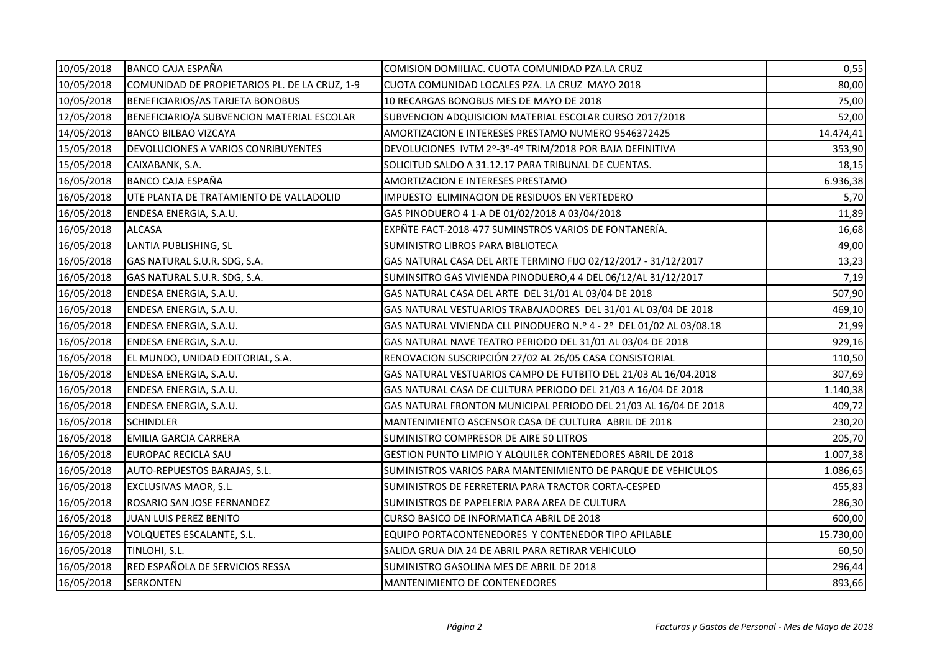| 10/05/2018 | <b>BANCO CAJA ESPAÑA</b>                      | COMISION DOMIILIAC. CUOTA COMUNIDAD PZA.LA CRUZ                     | 0,55      |
|------------|-----------------------------------------------|---------------------------------------------------------------------|-----------|
| 10/05/2018 | COMUNIDAD DE PROPIETARIOS PL. DE LA CRUZ, 1-9 | CUOTA COMUNIDAD LOCALES PZA. LA CRUZ MAYO 2018                      | 80,00     |
| 10/05/2018 | <b>BENEFICIARIOS/AS TARJETA BONOBUS</b>       | 10 RECARGAS BONOBUS MES DE MAYO DE 2018                             | 75,00     |
| 12/05/2018 | BENEFICIARIO/A SUBVENCION MATERIAL ESCOLAR    | SUBVENCION ADQUISICION MATERIAL ESCOLAR CURSO 2017/2018             | 52,00     |
| 14/05/2018 | <b>BANCO BILBAO VIZCAYA</b>                   | AMORTIZACION E INTERESES PRESTAMO NUMERO 9546372425                 | 14.474,41 |
| 15/05/2018 | DEVOLUCIONES A VARIOS CONRIBUYENTES           | DEVOLUCIONES IVTM 2º-3º-4º TRIM/2018 POR BAJA DEFINITIVA            | 353,90    |
| 15/05/2018 | CAIXABANK, S.A.                               | SOLICITUD SALDO A 31.12.17 PARA TRIBUNAL DE CUENTAS.                | 18,15     |
| 16/05/2018 | <b>BANCO CAJA ESPAÑA</b>                      | AMORTIZACION E INTERESES PRESTAMO                                   | 6.936,38  |
| 16/05/2018 | UTE PLANTA DE TRATAMIENTO DE VALLADOLID       | IMPUESTO ELIMINACION DE RESIDUOS EN VERTEDERO                       | 5,70      |
| 16/05/2018 | ENDESA ENERGIA, S.A.U.                        | GAS PINODUERO 4 1-A DE 01/02/2018 A 03/04/2018                      | 11,89     |
| 16/05/2018 | <b>ALCASA</b>                                 | EXPÑTE FACT-2018-477 SUMINSTROS VARIOS DE FONTANERÍA.               | 16,68     |
| 16/05/2018 | LANTIA PUBLISHING, SL                         | SUMINISTRO LIBROS PARA BIBLIOTECA                                   | 49,00     |
| 16/05/2018 | GAS NATURAL S.U.R. SDG, S.A.                  | GAS NATURAL CASA DEL ARTE TERMINO FIJO 02/12/2017 - 31/12/2017      | 13,23     |
| 16/05/2018 | GAS NATURAL S.U.R. SDG, S.A.                  | SUMINSITRO GAS VIVIENDA PINODUERO,4 4 DEL 06/12/AL 31/12/2017       | 7,19      |
| 16/05/2018 | ENDESA ENERGIA, S.A.U.                        | GAS NATURAL CASA DEL ARTE DEL 31/01 AL 03/04 DE 2018                | 507,90    |
| 16/05/2018 | ENDESA ENERGIA, S.A.U.                        | GAS NATURAL VESTUARIOS TRABAJADORES DEL 31/01 AL 03/04 DE 2018      | 469,10    |
| 16/05/2018 | ENDESA ENERGIA, S.A.U.                        | GAS NATURAL VIVIENDA CLL PINODUERO N.º 4 - 2º DEL 01/02 AL 03/08.18 | 21,99     |
| 16/05/2018 | ENDESA ENERGIA, S.A.U.                        | GAS NATURAL NAVE TEATRO PERIODO DEL 31/01 AL 03/04 DE 2018          | 929,16    |
| 16/05/2018 | EL MUNDO, UNIDAD EDITORIAL, S.A.              | RENOVACION SUSCRIPCIÓN 27/02 AL 26/05 CASA CONSISTORIAL             | 110,50    |
| 16/05/2018 | ENDESA ENERGIA, S.A.U.                        | GAS NATURAL VESTUARIOS CAMPO DE FUTBITO DEL 21/03 AL 16/04.2018     | 307,69    |
| 16/05/2018 | ENDESA ENERGIA, S.A.U.                        | GAS NATURAL CASA DE CULTURA PERIODO DEL 21/03 A 16/04 DE 2018       | 1.140,38  |
| 16/05/2018 | ENDESA ENERGIA, S.A.U.                        | GAS NATURAL FRONTON MUNICIPAL PERIODO DEL 21/03 AL 16/04 DE 2018    | 409,72    |
| 16/05/2018 | <b>SCHINDLER</b>                              | MANTENIMIENTO ASCENSOR CASA DE CULTURA ABRIL DE 2018                | 230,20    |
| 16/05/2018 | EMILIA GARCIA CARRERA                         | SUMINISTRO COMPRESOR DE AIRE 50 LITROS                              | 205,70    |
| 16/05/2018 | EUROPAC RECICLA SAU                           | GESTION PUNTO LIMPIO Y ALQUILER CONTENEDORES ABRIL DE 2018          | 1.007,38  |
| 16/05/2018 | AUTO-REPUESTOS BARAJAS, S.L.                  | SUMINISTROS VARIOS PARA MANTENIMIENTO DE PARQUE DE VEHICULOS        | 1.086,65  |
| 16/05/2018 | EXCLUSIVAS MAOR, S.L.                         | SUMINISTROS DE FERRETERIA PARA TRACTOR CORTA-CESPED                 | 455,83    |
| 16/05/2018 | ROSARIO SAN JOSE FERNANDEZ                    | SUMINISTROS DE PAPELERIA PARA AREA DE CULTURA                       | 286,30    |
| 16/05/2018 | JUAN LUIS PEREZ BENITO                        | CURSO BASICO DE INFORMATICA ABRIL DE 2018                           | 600,00    |
| 16/05/2018 | VOLQUETES ESCALANTE, S.L.                     | EQUIPO PORTACONTENEDORES Y CONTENEDOR TIPO APILABLE                 | 15.730,00 |
| 16/05/2018 | TINLOHI, S.L.                                 | SALIDA GRUA DIA 24 DE ABRIL PARA RETIRAR VEHICULO                   | 60,50     |
| 16/05/2018 | RED ESPAÑOLA DE SERVICIOS RESSA               | SUMINISTRO GASOLINA MES DE ABRIL DE 2018                            | 296,44    |
| 16/05/2018 | <b>SERKONTEN</b>                              | <b>MANTENIMIENTO DE CONTENEDORES</b>                                | 893,66    |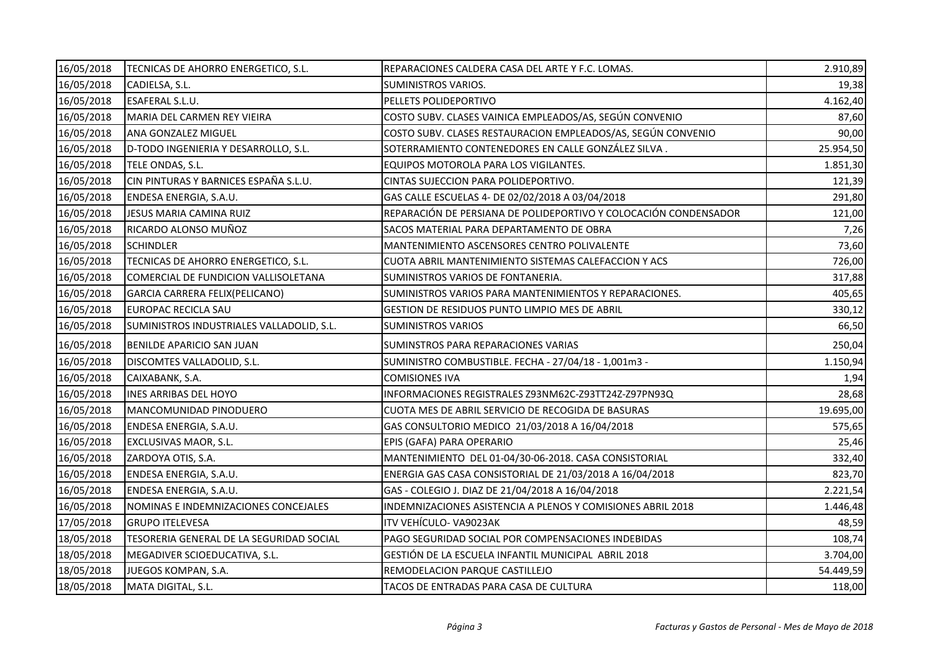| 16/05/2018 | TECNICAS DE AHORRO ENERGETICO, S.L.       | REPARACIONES CALDERA CASA DEL ARTE Y F.C. LOMAS.                 | 2.910,89  |
|------------|-------------------------------------------|------------------------------------------------------------------|-----------|
| 16/05/2018 | CADIELSA, S.L.                            | <b>SUMINISTROS VARIOS.</b>                                       | 19,38     |
| 16/05/2018 | ESAFERAL S.L.U.                           | PELLETS POLIDEPORTIVO                                            | 4.162,40  |
| 16/05/2018 | MARIA DEL CARMEN REY VIEIRA               | COSTO SUBV. CLASES VAINICA EMPLEADOS/AS, SEGÚN CONVENIO          | 87,60     |
| 16/05/2018 | ANA GONZALEZ MIGUEL                       | COSTO SUBV. CLASES RESTAURACION EMPLEADOS/AS, SEGÚN CONVENIO     | 90,00     |
| 16/05/2018 | D-TODO INGENIERIA Y DESARROLLO, S.L.      | SOTERRAMIENTO CONTENEDORES EN CALLE GONZÁLEZ SILVA.              | 25.954,50 |
| 16/05/2018 | TELE ONDAS, S.L.                          | EQUIPOS MOTOROLA PARA LOS VIGILANTES.                            | 1.851,30  |
| 16/05/2018 | CIN PINTURAS Y BARNICES ESPAÑA S.L.U.     | CINTAS SUJECCION PARA POLIDEPORTIVO.                             | 121,39    |
| 16/05/2018 | ENDESA ENERGIA, S.A.U.                    | GAS CALLE ESCUELAS 4- DE 02/02/2018 A 03/04/2018                 | 291,80    |
| 16/05/2018 | JESUS MARIA CAMINA RUIZ                   | REPARACIÓN DE PERSIANA DE POLIDEPORTIVO Y COLOCACIÓN CONDENSADOR | 121,00    |
| 16/05/2018 | RICARDO ALONSO MUÑOZ                      | SACOS MATERIAL PARA DEPARTAMENTO DE OBRA                         | 7,26      |
| 16/05/2018 | <b>SCHINDLER</b>                          | MANTENIMIENTO ASCENSORES CENTRO POLIVALENTE                      | 73,60     |
| 16/05/2018 | TECNICAS DE AHORRO ENERGETICO, S.L.       | CUOTA ABRIL MANTENIMIENTO SISTEMAS CALEFACCION Y ACS             | 726,00    |
| 16/05/2018 | COMERCIAL DE FUNDICION VALLISOLETANA      | SUMINISTROS VARIOS DE FONTANERIA.                                | 317,88    |
| 16/05/2018 | GARCIA CARRERA FELIX(PELICANO)            | SUMINISTROS VARIOS PARA MANTENIMIENTOS Y REPARACIONES.           | 405,65    |
| 16/05/2018 | EUROPAC RECICLA SAU                       | <b>GESTION DE RESIDUOS PUNTO LIMPIO MES DE ABRIL</b>             | 330,12    |
| 16/05/2018 | SUMINISTROS INDUSTRIALES VALLADOLID, S.L. | <b>SUMINISTROS VARIOS</b>                                        | 66,50     |
| 16/05/2018 | BENILDE APARICIO SAN JUAN                 | SUMINSTROS PARA REPARACIONES VARIAS                              | 250,04    |
| 16/05/2018 | DISCOMTES VALLADOLID, S.L.                | SUMINISTRO COMBUSTIBLE. FECHA - 27/04/18 - 1,001m3 -             | 1.150,94  |
| 16/05/2018 | CAIXABANK, S.A.                           | COMISIONES IVA                                                   | 1,94      |
| 16/05/2018 | <b>INES ARRIBAS DEL HOYO</b>              | INFORMACIONES REGISTRALES Z93NM62C-Z93TT24Z-Z97PN93Q             | 28,68     |
| 16/05/2018 | MANCOMUNIDAD PINODUERO                    | CUOTA MES DE ABRIL SERVICIO DE RECOGIDA DE BASURAS               | 19.695,00 |
| 16/05/2018 | ENDESA ENERGIA, S.A.U.                    | GAS CONSULTORIO MEDICO 21/03/2018 A 16/04/2018                   | 575,65    |
| 16/05/2018 | EXCLUSIVAS MAOR, S.L.                     | EPIS (GAFA) PARA OPERARIO                                        | 25,46     |
| 16/05/2018 | ZARDOYA OTIS, S.A.                        | MANTENIMIENTO DEL 01-04/30-06-2018. CASA CONSISTORIAL            | 332,40    |
| 16/05/2018 | ENDESA ENERGIA, S.A.U.                    | ENERGIA GAS CASA CONSISTORIAL DE 21/03/2018 A 16/04/2018         | 823,70    |
| 16/05/2018 | ENDESA ENERGIA, S.A.U.                    | GAS - COLEGIO J. DIAZ DE 21/04/2018 A 16/04/2018                 | 2.221,54  |
| 16/05/2018 | NOMINAS E INDEMNIZACIONES CONCEJALES      | INDEMNIZACIONES ASISTENCIA A PLENOS Y COMISIONES ABRIL 2018      | 1.446,48  |
| 17/05/2018 | <b>GRUPO ITELEVESA</b>                    | ITV VEHÍCULO-VA9023AK                                            | 48,59     |
| 18/05/2018 | TESORERIA GENERAL DE LA SEGURIDAD SOCIAL  | PAGO SEGURIDAD SOCIAL POR COMPENSACIONES INDEBIDAS               | 108,74    |
| 18/05/2018 | MEGADIVER SCIOEDUCATIVA, S.L.             | GESTIÓN DE LA ESCUELA INFANTIL MUNICIPAL ABRIL 2018              | 3.704,00  |
| 18/05/2018 | JUEGOS KOMPAN, S.A.                       | REMODELACION PARQUE CASTILLEJO                                   | 54.449,59 |
| 18/05/2018 | MATA DIGITAL, S.L.                        | TACOS DE ENTRADAS PARA CASA DE CULTURA                           | 118,00    |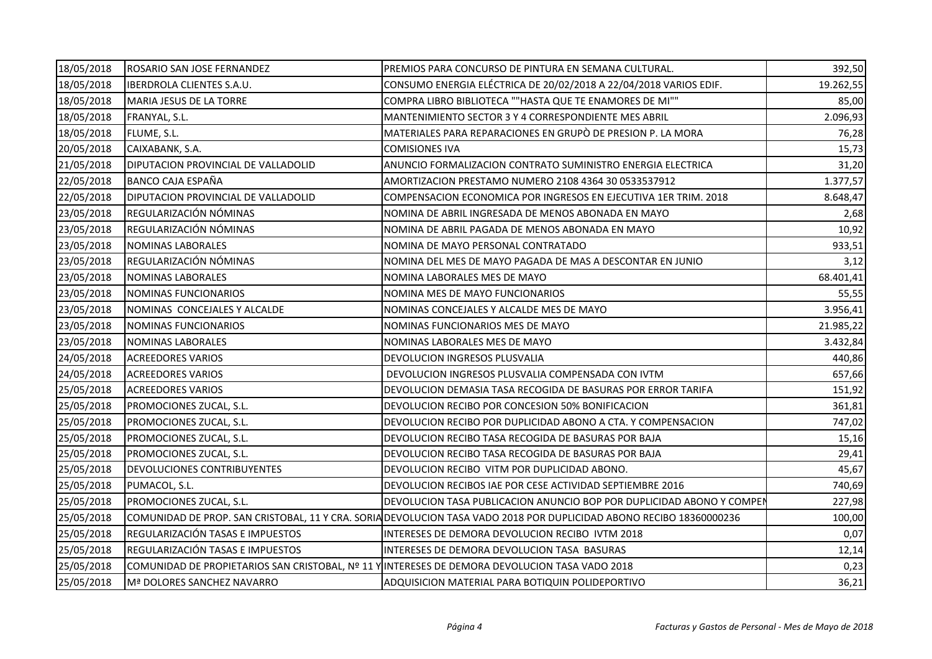| 18/05/2018 | ROSARIO SAN JOSE FERNANDEZ                                                                     | PREMIOS PARA CONCURSO DE PINTURA EN SEMANA CULTURAL.                                                                | 392,50    |
|------------|------------------------------------------------------------------------------------------------|---------------------------------------------------------------------------------------------------------------------|-----------|
| 18/05/2018 | <b>IBERDROLA CLIENTES S.A.U.</b>                                                               | CONSUMO ENERGIA ELÉCTRICA DE 20/02/2018 A 22/04/2018 VARIOS EDIF.                                                   | 19.262,55 |
| 18/05/2018 | MARIA JESUS DE LA TORRE                                                                        | COMPRA LIBRO BIBLIOTECA ""HASTA QUE TE ENAMORES DE MI""                                                             | 85,00     |
| 18/05/2018 | FRANYAL, S.L.                                                                                  | MANTENIMIENTO SECTOR 3 Y 4 CORRESPONDIENTE MES ABRIL                                                                | 2.096,93  |
| 18/05/2018 | FLUME, S.L.                                                                                    | MATERIALES PARA REPARACIONES EN GRUPÒ DE PRESION P. LA MORA                                                         | 76,28     |
| 20/05/2018 | CAIXABANK, S.A.                                                                                | <b>COMISIONES IVA</b>                                                                                               | 15,73     |
| 21/05/2018 | DIPUTACION PROVINCIAL DE VALLADOLID                                                            | ANUNCIO FORMALIZACION CONTRATO SUMINISTRO ENERGIA ELECTRICA                                                         | 31,20     |
| 22/05/2018 | <b>BANCO CAJA ESPAÑA</b>                                                                       | AMORTIZACION PRESTAMO NUMERO 2108 4364 30 0533537912                                                                | 1.377,57  |
| 22/05/2018 | DIPUTACION PROVINCIAL DE VALLADOLID                                                            | COMPENSACION ECONOMICA POR INGRESOS EN EJECUTIVA 1ER TRIM. 2018                                                     | 8.648,47  |
| 23/05/2018 | REGULARIZACIÓN NÓMINAS                                                                         | NOMINA DE ABRIL INGRESADA DE MENOS ABONADA EN MAYO                                                                  | 2,68      |
| 23/05/2018 | REGULARIZACIÓN NÓMINAS                                                                         | NOMINA DE ABRIL PAGADA DE MENOS ABONADA EN MAYO                                                                     | 10,92     |
| 23/05/2018 | <b>NOMINAS LABORALES</b>                                                                       | NOMINA DE MAYO PERSONAL CONTRATADO                                                                                  | 933,51    |
| 23/05/2018 | REGULARIZACIÓN NÓMINAS                                                                         | NOMINA DEL MES DE MAYO PAGADA DE MAS A DESCONTAR EN JUNIO                                                           | 3,12      |
| 23/05/2018 | NOMINAS LABORALES                                                                              | NOMINA LABORALES MES DE MAYO                                                                                        | 68.401,41 |
| 23/05/2018 | NOMINAS FUNCIONARIOS                                                                           | NOMINA MES DE MAYO FUNCIONARIOS                                                                                     | 55,55     |
| 23/05/2018 | NOMINAS CONCEJALES Y ALCALDE                                                                   | NOMINAS CONCEJALES Y ALCALDE MES DE MAYO                                                                            | 3.956,41  |
| 23/05/2018 | <b>NOMINAS FUNCIONARIOS</b>                                                                    | NOMINAS FUNCIONARIOS MES DE MAYO                                                                                    | 21.985,22 |
| 23/05/2018 | NOMINAS LABORALES                                                                              | NOMINAS LABORALES MES DE MAYO                                                                                       | 3.432,84  |
| 24/05/2018 | <b>ACREEDORES VARIOS</b>                                                                       | DEVOLUCION INGRESOS PLUSVALIA                                                                                       | 440,86    |
| 24/05/2018 | <b>ACREEDORES VARIOS</b>                                                                       | DEVOLUCION INGRESOS PLUSVALIA COMPENSADA CON IVTM                                                                   | 657,66    |
| 25/05/2018 | <b>ACREEDORES VARIOS</b>                                                                       | DEVOLUCION DEMASIA TASA RECOGIDA DE BASURAS POR ERROR TARIFA                                                        | 151,92    |
| 25/05/2018 | PROMOCIONES ZUCAL, S.L.                                                                        | DEVOLUCION RECIBO POR CONCESION 50% BONIFICACION                                                                    | 361,81    |
| 25/05/2018 | PROMOCIONES ZUCAL, S.L.                                                                        | DEVOLUCION RECIBO POR DUPLICIDAD ABONO A CTA. Y COMPENSACION                                                        | 747,02    |
| 25/05/2018 | PROMOCIONES ZUCAL, S.L.                                                                        | DEVOLUCION RECIBO TASA RECOGIDA DE BASURAS POR BAJA                                                                 | 15,16     |
| 25/05/2018 | PROMOCIONES ZUCAL, S.L.                                                                        | DEVOLUCION RECIBO TASA RECOGIDA DE BASURAS POR BAJA                                                                 | 29,41     |
| 25/05/2018 | <b>DEVOLUCIONES CONTRIBUYENTES</b>                                                             | DEVOLUCION RECIBO VITM POR DUPLICIDAD ABONO.                                                                        | 45,67     |
| 25/05/2018 | PUMACOL, S.L.                                                                                  | DEVOLUCION RECIBOS IAE POR CESE ACTIVIDAD SEPTIEMBRE 2016                                                           | 740,69    |
| 25/05/2018 | PROMOCIONES ZUCAL, S.L.                                                                        | DEVOLUCION TASA PUBLICACION ANUNCIO BOP POR DUPLICIDAD ABONO Y COMPEN                                               | 227,98    |
| 25/05/2018 |                                                                                                | COMUNIDAD DE PROP. SAN CRISTOBAL, 11 Y CRA. SORIA DEVOLUCION TASA VADO 2018 POR DUPLICIDAD ABONO RECIBO 18360000236 | 100,00    |
| 25/05/2018 | REGULARIZACIÓN TASAS E IMPUESTOS                                                               | INTERESES DE DEMORA DEVOLUCION RECIBO IVTM 2018                                                                     | 0,07      |
| 25/05/2018 | REGULARIZACIÓN TASAS E IMPUESTOS                                                               | INTERESES DE DEMORA DEVOLUCION TASA BASURAS                                                                         | 12,14     |
| 25/05/2018 | COMUNIDAD DE PROPIETARIOS SAN CRISTOBAL, Nº 11 Y INTERESES DE DEMORA DEVOLUCION TASA VADO 2018 |                                                                                                                     | 0,23      |
| 25/05/2018 | Mª DOLORES SANCHEZ NAVARRO                                                                     | ADQUISICION MATERIAL PARA BOTIQUIN POLIDEPORTIVO                                                                    | 36,21     |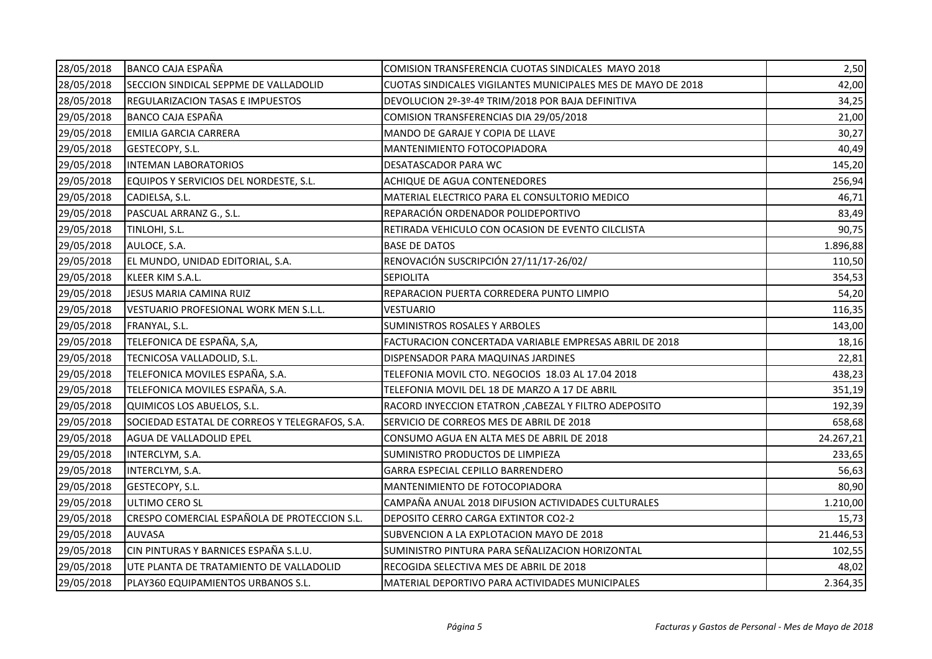| 28/05/2018 | <b>BANCO CAJA ESPAÑA</b>                       | COMISION TRANSFERENCIA CUOTAS SINDICALES MAYO 2018           | 2,50      |
|------------|------------------------------------------------|--------------------------------------------------------------|-----------|
| 28/05/2018 | SECCION SINDICAL SEPPME DE VALLADOLID          | CUOTAS SINDICALES VIGILANTES MUNICIPALES MES DE MAYO DE 2018 | 42,00     |
| 28/05/2018 | <b>REGULARIZACION TASAS E IMPUESTOS</b>        | DEVOLUCION 2º-3º-4º TRIM/2018 POR BAJA DEFINITIVA            | 34,25     |
| 29/05/2018 | <b>BANCO CAJA ESPAÑA</b>                       | COMISION TRANSFERENCIAS DIA 29/05/2018                       | 21,00     |
| 29/05/2018 | EMILIA GARCIA CARRERA                          | MANDO DE GARAJE Y COPIA DE LLAVE                             | 30,27     |
| 29/05/2018 | GESTECOPY, S.L.                                | MANTENIMIENTO FOTOCOPIADORA                                  | 40,49     |
| 29/05/2018 | <b>INTEMAN LABORATORIOS</b>                    | DESATASCADOR PARA WC                                         | 145,20    |
| 29/05/2018 | EQUIPOS Y SERVICIOS DEL NORDESTE, S.L.         | ACHIQUE DE AGUA CONTENEDORES                                 | 256,94    |
| 29/05/2018 | CADIELSA, S.L.                                 | MATERIAL ELECTRICO PARA EL CONSULTORIO MEDICO                | 46,71     |
| 29/05/2018 | PASCUAL ARRANZ G., S.L.                        | REPARACIÓN ORDENADOR POLIDEPORTIVO                           | 83,49     |
| 29/05/2018 | TINLOHI, S.L.                                  | RETIRADA VEHICULO CON OCASION DE EVENTO CILCLISTA            | 90,75     |
| 29/05/2018 | AULOCE, S.A.                                   | <b>BASE DE DATOS</b>                                         | 1.896,88  |
| 29/05/2018 | EL MUNDO, UNIDAD EDITORIAL, S.A.               | RENOVACIÓN SUSCRIPCIÓN 27/11/17-26/02/                       | 110,50    |
| 29/05/2018 | KLEER KIM S.A.L.                               | <b>SEPIOLITA</b>                                             | 354,53    |
| 29/05/2018 | JESUS MARIA CAMINA RUIZ                        | REPARACION PUERTA CORREDERA PUNTO LIMPIO                     | 54,20     |
| 29/05/2018 | VESTUARIO PROFESIONAL WORK MEN S.L.L.          | VESTUARIO                                                    | 116,35    |
| 29/05/2018 | FRANYAL, S.L.                                  | <b>SUMINISTROS ROSALES Y ARBOLES</b>                         | 143,00    |
| 29/05/2018 | TELEFONICA DE ESPAÑA, S,A,                     | FACTURACION CONCERTADA VARIABLE EMPRESAS ABRIL DE 2018       | 18,16     |
| 29/05/2018 | TECNICOSA VALLADOLID, S.L.                     | DISPENSADOR PARA MAQUINAS JARDINES                           | 22,81     |
| 29/05/2018 | TELEFONICA MOVILES ESPAÑA, S.A.                | TELEFONIA MOVIL CTO. NEGOCIOS 18.03 AL 17.04 2018            | 438,23    |
| 29/05/2018 | TELEFONICA MOVILES ESPAÑA, S.A.                | TELEFONIA MOVIL DEL 18 DE MARZO A 17 DE ABRIL                | 351,19    |
| 29/05/2018 | QUIMICOS LOS ABUELOS, S.L.                     | RACORD INYECCION ETATRON , CABEZAL Y FILTRO ADEPOSITO        | 192,39    |
| 29/05/2018 | SOCIEDAD ESTATAL DE CORREOS Y TELEGRAFOS, S.A. | SERVICIO DE CORREOS MES DE ABRIL DE 2018                     | 658,68    |
| 29/05/2018 | AGUA DE VALLADOLID EPEL                        | CONSUMO AGUA EN ALTA MES DE ABRIL DE 2018                    | 24.267,21 |
| 29/05/2018 | INTERCLYM, S.A.                                | SUMINISTRO PRODUCTOS DE LIMPIEZA                             | 233,65    |
| 29/05/2018 | INTERCLYM, S.A.                                | GARRA ESPECIAL CEPILLO BARRENDERO                            | 56,63     |
| 29/05/2018 | GESTECOPY, S.L.                                | MANTENIMIENTO DE FOTOCOPIADORA                               | 80,90     |
| 29/05/2018 | ULTIMO CERO SL                                 | CAMPAÑA ANUAL 2018 DIFUSION ACTIVIDADES CULTURALES           | 1.210,00  |
| 29/05/2018 | CRESPO COMERCIAL ESPAÑOLA DE PROTECCION S.L.   | DEPOSITO CERRO CARGA EXTINTOR CO2-2                          | 15,73     |
| 29/05/2018 | <b>AUVASA</b>                                  | SUBVENCION A LA EXPLOTACION MAYO DE 2018                     | 21.446,53 |
| 29/05/2018 | CIN PINTURAS Y BARNICES ESPAÑA S.L.U.          | SUMINISTRO PINTURA PARA SEÑALIZACION HORIZONTAL              | 102,55    |
| 29/05/2018 | UTE PLANTA DE TRATAMIENTO DE VALLADOLID        | RECOGIDA SELECTIVA MES DE ABRIL DE 2018                      | 48,02     |
| 29/05/2018 | PLAY360 EQUIPAMIENTOS URBANOS S.L.             | MATERIAL DEPORTIVO PARA ACTIVIDADES MUNICIPALES              | 2.364,35  |